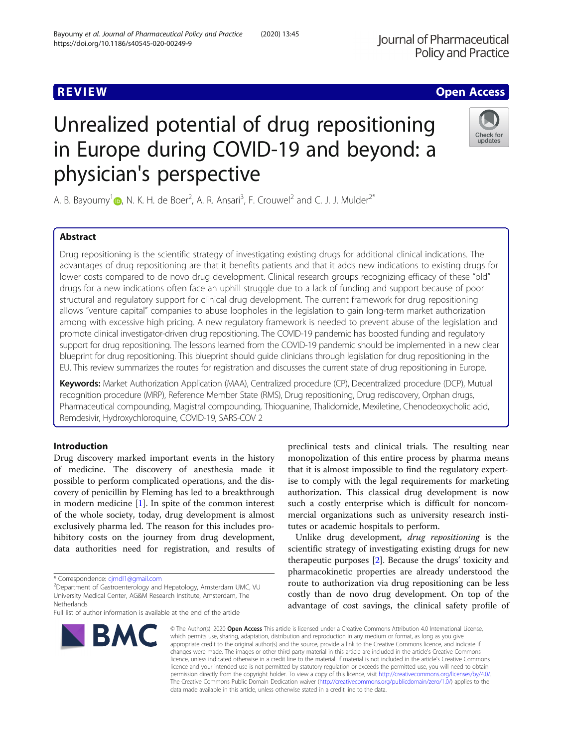# https://doi.org/10.1186/s40545-020-00249-9

Bayoumy et al. Journal of Pharmaceutical Policy and Practice (2020) 13:45

physician's perspective

A. B. Bayoumy<sup>1</sup> (**p**[,](http://orcid.org/0000-0002-5302-9312) N. K. H. de Boer<sup>2</sup>, A. R. Ansari<sup>3</sup>, F. Crouwel<sup>2</sup> and C. J. J. Mulder<sup>2\*</sup>

Unrealized potential of drug repositioning

in Europe during COVID-19 and beyond: a

# Abstract

Drug repositioning is the scientific strategy of investigating existing drugs for additional clinical indications. The advantages of drug repositioning are that it benefits patients and that it adds new indications to existing drugs for lower costs compared to de novo drug development. Clinical research groups recognizing efficacy of these "old" drugs for a new indications often face an uphill struggle due to a lack of funding and support because of poor structural and regulatory support for clinical drug development. The current framework for drug repositioning allows "venture capital" companies to abuse loopholes in the legislation to gain long-term market authorization among with excessive high pricing. A new regulatory framework is needed to prevent abuse of the legislation and promote clinical investigator-driven drug repositioning. The COVID-19 pandemic has boosted funding and regulatory support for drug repositioning. The lessons learned from the COVID-19 pandemic should be implemented in a new clear blueprint for drug repositioning. This blueprint should guide clinicians through legislation for drug repositioning in the EU. This review summarizes the routes for registration and discusses the current state of drug repositioning in Europe.

Keywords: Market Authorization Application (MAA), Centralized procedure (CP), Decentralized procedure (DCP), Mutual recognition procedure (MRP), Reference Member State (RMS), Drug repositioning, Drug rediscovery, Orphan drugs, Pharmaceutical compounding, Magistral compounding, Thioguanine, Thalidomide, Mexiletine, Chenodeoxycholic acid, Remdesivir, Hydroxychloroquine, COVID-19, SARS-COV 2

# Introduction

Drug discovery marked important events in the history of medicine. The discovery of anesthesia made it possible to perform complicated operations, and the discovery of penicillin by Fleming has led to a breakthrough in modern medicine  $[1]$  $[1]$ . In spite of the common interest of the whole society, today, drug development is almost exclusively pharma led. The reason for this includes prohibitory costs on the journey from drug development, data authorities need for registration, and results of

Department of Gastroenterology and Hepatology, Amsterdam UMC, VU University Medical Center, AG&M Research Institute, Amsterdam, The Netherlands

**BMC** 



tutes or academic hospitals to perform.

preclinical tests and clinical trials. The resulting near monopolization of this entire process by pharma means that it is almost impossible to find the regulatory expertise to comply with the legal requirements for marketing authorization. This classical drug development is now such a costly enterprise which is difficult for noncommercial organizations such as university research insti-

© The Author(s), 2020 **Open Access** This article is licensed under a Creative Commons Attribution 4.0 International License, which permits use, sharing, adaptation, distribution and reproduction in any medium or format, as long as you give appropriate credit to the original author(s) and the source, provide a link to the Creative Commons licence, and indicate if changes were made. The images or other third party material in this article are included in the article's Creative Commons licence, unless indicated otherwise in a credit line to the material. If material is not included in the article's Creative Commons licence and your intended use is not permitted by statutory regulation or exceeds the permitted use, you will need to obtain permission directly from the copyright holder. To view a copy of this licence, visit [http://creativecommons.org/licenses/by/4.0/.](http://creativecommons.org/licenses/by/4.0/) The Creative Commons Public Domain Dedication waiver [\(http://creativecommons.org/publicdomain/zero/1.0/](http://creativecommons.org/publicdomain/zero/1.0/)) applies to the data made available in this article, unless otherwise stated in a credit line to the data.

**REVIEW ACCESS AND LOCAL CONTRACT CONTRACT OF ACCESS** 



<sup>\*</sup> Correspondence: [cjmdl1@gmail.com](mailto:cjmdl1@gmail.com) <sup>2</sup>

Full list of author information is available at the end of the article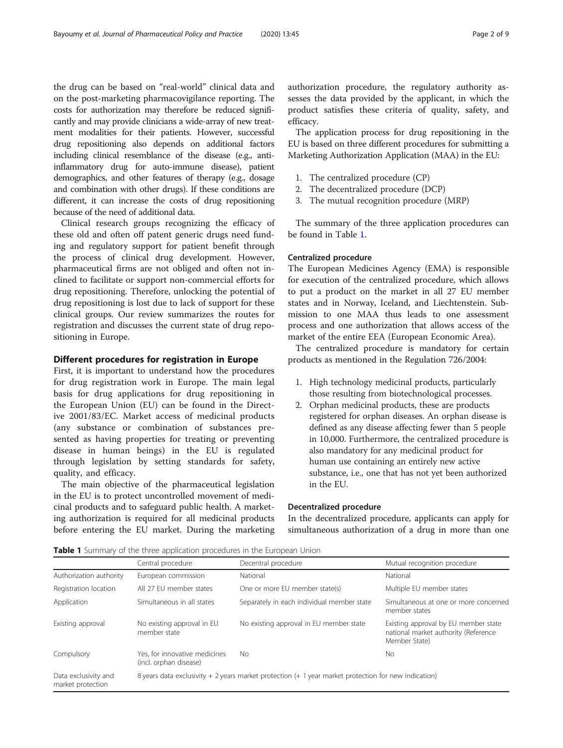the drug can be based on "real-world" clinical data and on the post-marketing pharmacovigilance reporting. The costs for authorization may therefore be reduced significantly and may provide clinicians a wide-array of new treatment modalities for their patients. However, successful drug repositioning also depends on additional factors including clinical resemblance of the disease (e.g., antiinflammatory drug for auto-immune disease), patient demographics, and other features of therapy (e.g., dosage and combination with other drugs). If these conditions are different, it can increase the costs of drug repositioning because of the need of additional data.

Clinical research groups recognizing the efficacy of these old and often off patent generic drugs need funding and regulatory support for patient benefit through the process of clinical drug development. However, pharmaceutical firms are not obliged and often not inclined to facilitate or support non-commercial efforts for drug repositioning. Therefore, unlocking the potential of drug repositioning is lost due to lack of support for these clinical groups. Our review summarizes the routes for registration and discusses the current state of drug repositioning in Europe.

## Different procedures for registration in Europe

First, it is important to understand how the procedures for drug registration work in Europe. The main legal basis for drug applications for drug repositioning in the European Union (EU) can be found in the Directive 2001/83/EC. Market access of medicinal products (any substance or combination of substances presented as having properties for treating or preventing disease in human beings) in the EU is regulated through legislation by setting standards for safety, quality, and efficacy.

The main objective of the pharmaceutical legislation in the EU is to protect uncontrolled movement of medicinal products and to safeguard public health. A marketing authorization is required for all medicinal products before entering the EU market. During the marketing authorization procedure, the regulatory authority assesses the data provided by the applicant, in which the product satisfies these criteria of quality, safety, and efficacy.

The application process for drug repositioning in the EU is based on three different procedures for submitting a Marketing Authorization Application (MAA) in the EU:

- 1. The centralized procedure (CP)
- 2. The decentralized procedure (DCP)
- 3. The mutual recognition procedure (MRP)

The summary of the three application procedures can be found in Table 1.

## Centralized procedure

The European Medicines Agency (EMA) is responsible for execution of the centralized procedure, which allows to put a product on the market in all 27 EU member states and in Norway, Iceland, and Liechtenstein. Submission to one MAA thus leads to one assessment process and one authorization that allows access of the market of the entire EEA (European Economic Area).

The centralized procedure is mandatory for certain products as mentioned in the Regulation 726/2004:

- 1. High technology medicinal products, particularly those resulting from biotechnological processes.
- 2. Orphan medicinal products, these are products registered for orphan diseases. An orphan disease is defined as any disease affecting fewer than 5 people in 10,000. Furthermore, the centralized procedure is also mandatory for any medicinal product for human use containing an entirely new active substance, i.e., one that has not yet been authorized in the EU.

#### Decentralized procedure

In the decentralized procedure, applicants can apply for simultaneous authorization of a drug in more than one

Table 1 Summary of the three application procedures in the European Union

|                                           | Central procedure                                                                                      | Decentral procedure                        | Mutual recognition procedure                                                                  |
|-------------------------------------------|--------------------------------------------------------------------------------------------------------|--------------------------------------------|-----------------------------------------------------------------------------------------------|
| Authorization authority                   | European commission                                                                                    | National                                   | National                                                                                      |
| Registration location                     | All 27 FU member states                                                                                | One or more EU member state(s)             | Multiple EU member states                                                                     |
| Application                               | Simultaneous in all states                                                                             | Separately in each individual member state | Simultaneous at one or more concerned<br>member states                                        |
| Existing approval                         | No existing approval in EU<br>member state                                                             | No existing approval in EU member state    | Existing approval by EU member state<br>national market authority (Reference<br>Member State) |
| Compulsory                                | Yes, for innovative medicines<br>(incl. orphan disease)                                                | No.                                        | No.                                                                                           |
| Data exclusivity and<br>market protection | 8 years data exclusivity + 2 years market protection $(+ 1$ year market protection for new indication) |                                            |                                                                                               |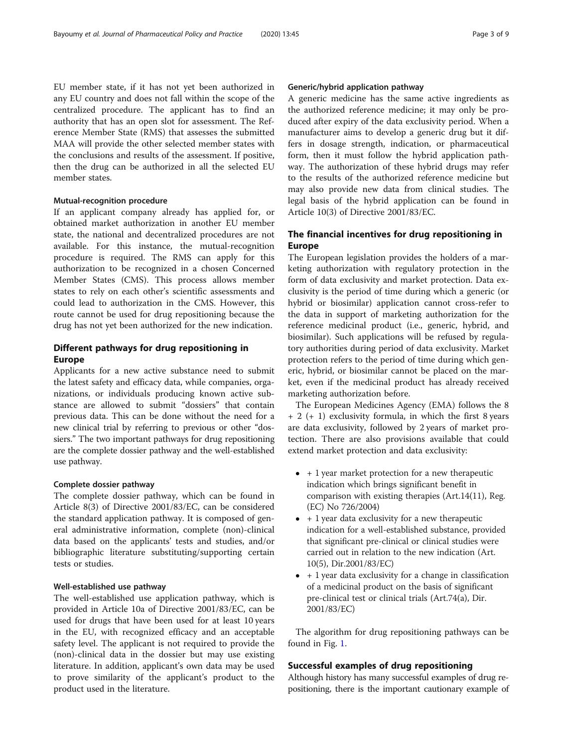EU member state, if it has not yet been authorized in any EU country and does not fall within the scope of the centralized procedure. The applicant has to find an authority that has an open slot for assessment. The Reference Member State (RMS) that assesses the submitted MAA will provide the other selected member states with the conclusions and results of the assessment. If positive, then the drug can be authorized in all the selected EU member states.

## Mutual-recognition procedure

If an applicant company already has applied for, or obtained market authorization in another EU member state, the national and decentralized procedures are not available. For this instance, the mutual-recognition procedure is required. The RMS can apply for this authorization to be recognized in a chosen Concerned Member States (CMS). This process allows member states to rely on each other's scientific assessments and could lead to authorization in the CMS. However, this route cannot be used for drug repositioning because the drug has not yet been authorized for the new indication.

## Different pathways for drug repositioning in Europe

Applicants for a new active substance need to submit the latest safety and efficacy data, while companies, organizations, or individuals producing known active substance are allowed to submit "dossiers" that contain previous data. This can be done without the need for a new clinical trial by referring to previous or other "dossiers." The two important pathways for drug repositioning are the complete dossier pathway and the well-established use pathway.

## Complete dossier pathway

The complete dossier pathway, which can be found in Article 8(3) of Directive 2001/83/EC, can be considered the standard application pathway. It is composed of general administrative information, complete (non)-clinical data based on the applicants' tests and studies, and/or bibliographic literature substituting/supporting certain tests or studies.

#### Well-established use pathway

The well-established use application pathway, which is provided in Article 10a of Directive 2001/83/EC, can be used for drugs that have been used for at least 10 years in the EU, with recognized efficacy and an acceptable safety level. The applicant is not required to provide the (non)-clinical data in the dossier but may use existing literature. In addition, applicant's own data may be used to prove similarity of the applicant's product to the product used in the literature.

## Generic/hybrid application pathway

A generic medicine has the same active ingredients as the authorized reference medicine; it may only be produced after expiry of the data exclusivity period. When a manufacturer aims to develop a generic drug but it differs in dosage strength, indication, or pharmaceutical form, then it must follow the hybrid application pathway. The authorization of these hybrid drugs may refer to the results of the authorized reference medicine but may also provide new data from clinical studies. The legal basis of the hybrid application can be found in Article 10(3) of Directive 2001/83/EC.

# The financial incentives for drug repositioning in Europe

The European legislation provides the holders of a marketing authorization with regulatory protection in the form of data exclusivity and market protection. Data exclusivity is the period of time during which a generic (or hybrid or biosimilar) application cannot cross-refer to the data in support of marketing authorization for the reference medicinal product (i.e., generic, hybrid, and biosimilar). Such applications will be refused by regulatory authorities during period of data exclusivity. Market protection refers to the period of time during which generic, hybrid, or biosimilar cannot be placed on the market, even if the medicinal product has already received marketing authorization before.

The European Medicines Agency (EMA) follows the 8 + 2 (+ 1) exclusivity formula, in which the first 8 years are data exclusivity, followed by 2 years of market protection. There are also provisions available that could extend market protection and data exclusivity:

- $\bullet$  + 1 year market protection for a new therapeutic indication which brings significant benefit in comparison with existing therapies (Art.14(11), Reg. (EC) No 726/2004)
- $\bullet$  + 1 year data exclusivity for a new therapeutic indication for a well-established substance, provided that significant pre-clinical or clinical studies were carried out in relation to the new indication (Art. 10(5), Dir.2001/83/EC)
- $\bullet$  + 1 year data exclusivity for a change in classification of a medicinal product on the basis of significant pre-clinical test or clinical trials (Art.74(a), Dir. 2001/83/EC)

The algorithm for drug repositioning pathways can be found in Fig. [1.](#page-3-0)

## Successful examples of drug repositioning

Although history has many successful examples of drug repositioning, there is the important cautionary example of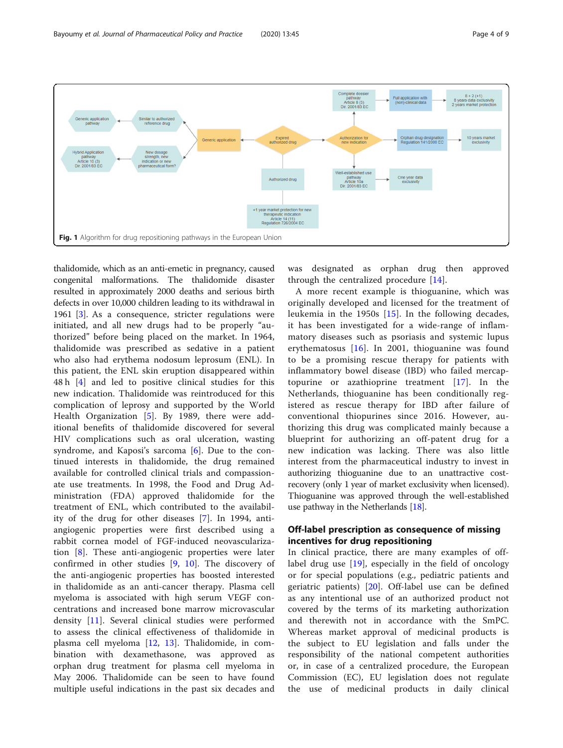<span id="page-3-0"></span>

thalidomide, which as an anti-emetic in pregnancy, caused congenital malformations. The thalidomide disaster resulted in approximately 2000 deaths and serious birth defects in over 10,000 children leading to its withdrawal in 1961 [\[3\]](#page-7-0). As a consequence, stricter regulations were initiated, and all new drugs had to be properly "authorized" before being placed on the market. In 1964, thalidomide was prescribed as sedative in a patient who also had erythema nodosum leprosum (ENL). In this patient, the ENL skin eruption disappeared within 48 h [[4\]](#page-7-0) and led to positive clinical studies for this new indication. Thalidomide was reintroduced for this complication of leprosy and supported by the World Health Organization [\[5](#page-7-0)]. By 1989, there were additional benefits of thalidomide discovered for several HIV complications such as oral ulceration, wasting syndrome, and Kaposi's sarcoma [[6\]](#page-7-0). Due to the continued interests in thalidomide, the drug remained available for controlled clinical trials and compassionate use treatments. In 1998, the Food and Drug Administration (FDA) approved thalidomide for the treatment of ENL, which contributed to the availability of the drug for other diseases [[7](#page-8-0)]. In 1994, antiangiogenic properties were first described using a rabbit cornea model of FGF-induced neovascularization [\[8](#page-8-0)]. These anti-angiogenic properties were later confirmed in other studies [[9](#page-8-0), [10\]](#page-8-0). The discovery of the anti-angiogenic properties has boosted interested in thalidomide as an anti-cancer therapy. Plasma cell myeloma is associated with high serum VEGF concentrations and increased bone marrow microvascular density [\[11](#page-8-0)]. Several clinical studies were performed to assess the clinical effectiveness of thalidomide in plasma cell myeloma [[12,](#page-8-0) [13](#page-8-0)]. Thalidomide, in combination with dexamethasone, was approved as orphan drug treatment for plasma cell myeloma in May 2006. Thalidomide can be seen to have found multiple useful indications in the past six decades and

was designated as orphan drug then approved through the centralized procedure [[14\]](#page-8-0).

A more recent example is thioguanine, which was originally developed and licensed for the treatment of leukemia in the 1950s [[15](#page-8-0)]. In the following decades, it has been investigated for a wide-range of inflammatory diseases such as psoriasis and systemic lupus erythematosus  $[16]$ . In 2001, thioguanine was found to be a promising rescue therapy for patients with inflammatory bowel disease (IBD) who failed mercaptopurine or azathioprine treatment [[17\]](#page-8-0). In the Netherlands, thioguanine has been conditionally registered as rescue therapy for IBD after failure of conventional thiopurines since 2016. However, authorizing this drug was complicated mainly because a blueprint for authorizing an off-patent drug for a new indication was lacking. There was also little interest from the pharmaceutical industry to invest in authorizing thioguanine due to an unattractive costrecovery (only 1 year of market exclusivity when licensed). Thioguanine was approved through the well-established use pathway in the Netherlands [[18](#page-8-0)].

## Off-label prescription as consequence of missing incentives for drug repositioning

In clinical practice, there are many examples of offlabel drug use [\[19](#page-8-0)], especially in the field of oncology or for special populations (e.g., pediatric patients and geriatric patients) [[20\]](#page-8-0). Off-label use can be defined as any intentional use of an authorized product not covered by the terms of its marketing authorization and therewith not in accordance with the SmPC. Whereas market approval of medicinal products is the subject to EU legislation and falls under the responsibility of the national competent authorities or, in case of a centralized procedure, the European Commission (EC), EU legislation does not regulate the use of medicinal products in daily clinical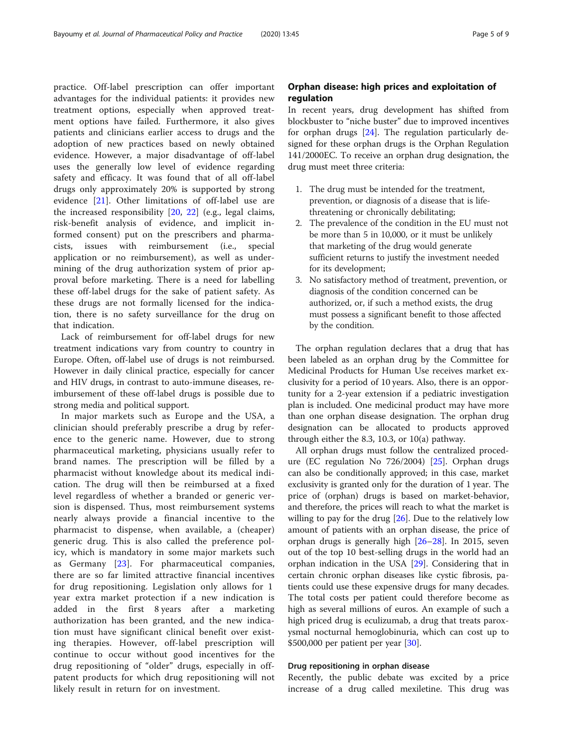practice. Off-label prescription can offer important advantages for the individual patients: it provides new treatment options, especially when approved treatment options have failed. Furthermore, it also gives patients and clinicians earlier access to drugs and the adoption of new practices based on newly obtained evidence. However, a major disadvantage of off-label uses the generally low level of evidence regarding safety and efficacy. It was found that of all off-label drugs only approximately 20% is supported by strong evidence [[21\]](#page-8-0). Other limitations of off-label use are the increased responsibility [[20,](#page-8-0) [22](#page-8-0)] (e.g., legal claims, risk-benefit analysis of evidence, and implicit informed consent) put on the prescribers and pharmacists, issues with reimbursement (i.e., special application or no reimbursement), as well as undermining of the drug authorization system of prior approval before marketing. There is a need for labelling these off-label drugs for the sake of patient safety. As these drugs are not formally licensed for the indication, there is no safety surveillance for the drug on that indication.

Lack of reimbursement for off-label drugs for new treatment indications vary from country to country in Europe. Often, off-label use of drugs is not reimbursed. However in daily clinical practice, especially for cancer and HIV drugs, in contrast to auto-immune diseases, reimbursement of these off-label drugs is possible due to strong media and political support.

In major markets such as Europe and the USA, a clinician should preferably prescribe a drug by reference to the generic name. However, due to strong pharmaceutical marketing, physicians usually refer to brand names. The prescription will be filled by a pharmacist without knowledge about its medical indication. The drug will then be reimbursed at a fixed level regardless of whether a branded or generic version is dispensed. Thus, most reimbursement systems nearly always provide a financial incentive to the pharmacist to dispense, when available, a (cheaper) generic drug. This is also called the preference policy, which is mandatory in some major markets such as Germany [[23](#page-8-0)]. For pharmaceutical companies, there are so far limited attractive financial incentives for drug repositioning. Legislation only allows for 1 year extra market protection if a new indication is added in the first 8 years after a marketing authorization has been granted, and the new indication must have significant clinical benefit over existing therapies. However, off-label prescription will continue to occur without good incentives for the drug repositioning of "older" drugs, especially in offpatent products for which drug repositioning will not likely result in return for on investment.

# Orphan disease: high prices and exploitation of regulation

In recent years, drug development has shifted from blockbuster to "niche buster" due to improved incentives for orphan drugs [\[24](#page-8-0)]. The regulation particularly designed for these orphan drugs is the Orphan Regulation 141/2000EC. To receive an orphan drug designation, the drug must meet three criteria:

- 1. The drug must be intended for the treatment, prevention, or diagnosis of a disease that is lifethreatening or chronically debilitating;
- 2. The prevalence of the condition in the EU must not be more than 5 in 10,000, or it must be unlikely that marketing of the drug would generate sufficient returns to justify the investment needed for its development;
- 3. No satisfactory method of treatment, prevention, or diagnosis of the condition concerned can be authorized, or, if such a method exists, the drug must possess a significant benefit to those affected by the condition.

The orphan regulation declares that a drug that has been labeled as an orphan drug by the Committee for Medicinal Products for Human Use receives market exclusivity for a period of 10 years. Also, there is an opportunity for a 2-year extension if a pediatric investigation plan is included. One medicinal product may have more than one orphan disease designation. The orphan drug designation can be allocated to products approved through either the 8.3, 10.3, or 10(a) pathway.

All orphan drugs must follow the centralized procedure (EC regulation No 726/2004) [\[25](#page-8-0)]. Orphan drugs can also be conditionally approved; in this case, market exclusivity is granted only for the duration of 1 year. The price of (orphan) drugs is based on market-behavior, and therefore, the prices will reach to what the market is willing to pay for the drug  $[26]$ . Due to the relatively low amount of patients with an orphan disease, the price of orphan drugs is generally high [[26](#page-8-0)–[28](#page-8-0)]. In 2015, seven out of the top 10 best-selling drugs in the world had an orphan indication in the USA [[29\]](#page-8-0). Considering that in certain chronic orphan diseases like cystic fibrosis, patients could use these expensive drugs for many decades. The total costs per patient could therefore become as high as several millions of euros. An example of such a high priced drug is eculizumab, a drug that treats paroxysmal nocturnal hemoglobinuria, which can cost up to \$500,000 per patient per year [[30\]](#page-8-0).

## Drug repositioning in orphan disease

Recently, the public debate was excited by a price increase of a drug called mexiletine. This drug was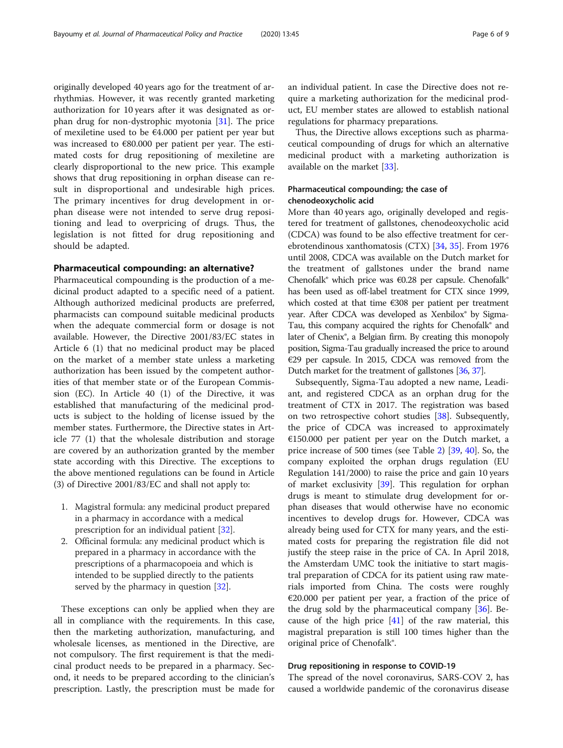originally developed 40 years ago for the treatment of arrhythmias. However, it was recently granted marketing authorization for 10 years after it was designated as orphan drug for non-dystrophic myotonia [\[31\]](#page-8-0). The price of mexiletine used to be €4.000 per patient per year but was increased to €80.000 per patient per year. The estimated costs for drug repositioning of mexiletine are clearly disproportional to the new price. This example shows that drug repositioning in orphan disease can result in disproportional and undesirable high prices. The primary incentives for drug development in orphan disease were not intended to serve drug repositioning and lead to overpricing of drugs. Thus, the legislation is not fitted for drug repositioning and should be adapted.

#### Pharmaceutical compounding: an alternative?

Pharmaceutical compounding is the production of a medicinal product adapted to a specific need of a patient. Although authorized medicinal products are preferred, pharmacists can compound suitable medicinal products when the adequate commercial form or dosage is not available. However, the Directive 2001/83/EC states in Article 6 (1) that no medicinal product may be placed on the market of a member state unless a marketing authorization has been issued by the competent authorities of that member state or of the European Commission (EC). In Article 40 (1) of the Directive, it was established that manufacturing of the medicinal products is subject to the holding of license issued by the member states. Furthermore, the Directive states in Article 77 (1) that the wholesale distribution and storage are covered by an authorization granted by the member state according with this Directive. The exceptions to the above mentioned regulations can be found in Article (3) of Directive 2001/83/EC and shall not apply to:

- 1. Magistral formula: any medicinal product prepared in a pharmacy in accordance with a medical prescription for an individual patient [[32](#page-8-0)].
- 2. Officinal formula: any medicinal product which is prepared in a pharmacy in accordance with the prescriptions of a pharmacopoeia and which is intended to be supplied directly to the patients served by the pharmacy in question [\[32](#page-8-0)].

These exceptions can only be applied when they are all in compliance with the requirements. In this case, then the marketing authorization, manufacturing, and wholesale licenses, as mentioned in the Directive, are not compulsory. The first requirement is that the medicinal product needs to be prepared in a pharmacy. Second, it needs to be prepared according to the clinician's prescription. Lastly, the prescription must be made for an individual patient. In case the Directive does not require a marketing authorization for the medicinal product, EU member states are allowed to establish national regulations for pharmacy preparations.

Thus, the Directive allows exceptions such as pharmaceutical compounding of drugs for which an alternative medicinal product with a marketing authorization is available on the market [[33](#page-8-0)].

## Pharmaceutical compounding; the case of chenodeoxycholic acid

More than 40 years ago, originally developed and registered for treatment of gallstones, chenodeoxycholic acid (CDCA) was found to be also effective treatment for cerebrotendinous xanthomatosis (CTX) [[34,](#page-8-0) [35\]](#page-8-0). From 1976 until 2008, CDCA was available on the Dutch market for the treatment of gallstones under the brand name Chenofalk® which price was €0.28 per capsule. Chenofalk® has been used as off-label treatment for CTX since 1999, which costed at that time €308 per patient per treatment year. After CDCA was developed as Xenbilox<sup>®</sup> by Sigma-Tau, this company acquired the rights for Chenofalk® and later of Chenix<sup>®</sup>, a Belgian firm. By creating this monopoly position, Sigma-Tau gradually increased the price to around €29 per capsule. In 2015, CDCA was removed from the Dutch market for the treatment of gallstones [\[36,](#page-8-0) [37\]](#page-8-0).

Subsequently, Sigma-Tau adopted a new name, Leadiant, and registered CDCA as an orphan drug for the treatment of CTX in 2017. The registration was based on two retrospective cohort studies [[38\]](#page-8-0). Subsequently, the price of CDCA was increased to approximately €150.000 per patient per year on the Dutch market, a price increase of 500 times (see Table [2\)](#page-6-0) [\[39,](#page-8-0) [40](#page-8-0)]. So, the company exploited the orphan drugs regulation (EU Regulation 141/2000) to raise the price and gain 10 years of market exclusivity [[39](#page-8-0)]. This regulation for orphan drugs is meant to stimulate drug development for orphan diseases that would otherwise have no economic incentives to develop drugs for. However, CDCA was already being used for CTX for many years, and the estimated costs for preparing the registration file did not justify the steep raise in the price of CA. In April 2018, the Amsterdam UMC took the initiative to start magistral preparation of CDCA for its patient using raw materials imported from China. The costs were roughly €20.000 per patient per year, a fraction of the price of the drug sold by the pharmaceutical company [[36\]](#page-8-0). Because of the high price  $[41]$  $[41]$  of the raw material, this magistral preparation is still 100 times higher than the original price of Chenofalk®.

#### Drug repositioning in response to COVID-19

The spread of the novel coronavirus, SARS-COV 2, has caused a worldwide pandemic of the coronavirus disease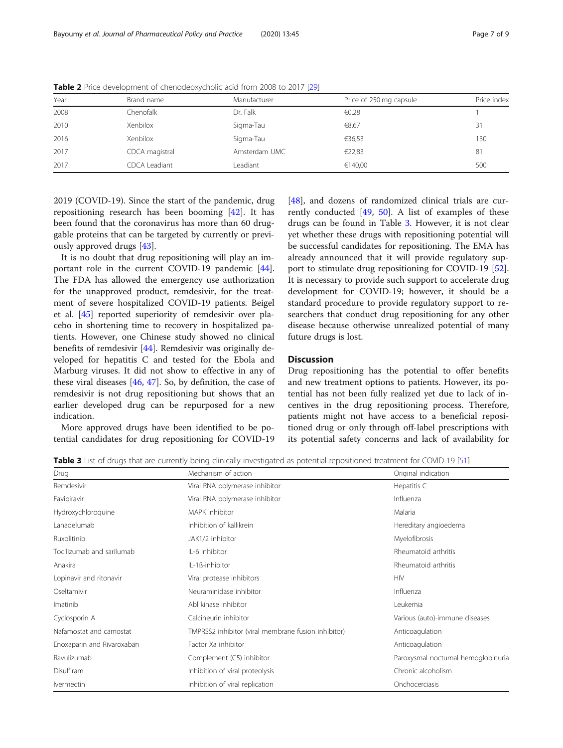| Year | Brand name     | Manufacturer  | Price of 250 mg capsule | Price index |
|------|----------------|---------------|-------------------------|-------------|
| 2008 | Chenofalk      | Dr. Falk      | €0,28                   |             |
| 2010 | Xenbilox       | Sigma-Tau     | €8,67                   | 31          |
| 2016 | Xenbilox       | Sigma-Tau     | €36,53                  | 130         |
| 2017 | CDCA magistral | Amsterdam UMC | €22,83                  | 81          |
| 2017 | CDCA Leadiant  | Leadiant      | €140.00                 | 500         |

<span id="page-6-0"></span>Table 2 Price development of chenodeoxycholic acid from 2008 to 2017 [\[29](#page-8-0)]

2019 (COVID-19). Since the start of the pandemic, drug repositioning research has been booming [\[42](#page-8-0)]. It has been found that the coronavirus has more than 60 druggable proteins that can be targeted by currently or previously approved drugs [\[43](#page-8-0)].

It is no doubt that drug repositioning will play an important role in the current COVID-19 pandemic [\[44](#page-8-0)]. The FDA has allowed the emergency use authorization for the unapproved product, remdesivir, for the treatment of severe hospitalized COVID-19 patients. Beigel et al. [[45\]](#page-8-0) reported superiority of remdesivir over placebo in shortening time to recovery in hospitalized patients. However, one Chinese study showed no clinical benefits of remdesivir [[44\]](#page-8-0). Remdesivir was originally developed for hepatitis C and tested for the Ebola and Marburg viruses. It did not show to effective in any of these viral diseases [\[46](#page-8-0), [47](#page-8-0)]. So, by definition, the case of remdesivir is not drug repositioning but shows that an earlier developed drug can be repurposed for a new indication.

More approved drugs have been identified to be potential candidates for drug repositioning for COVID-19 [[48\]](#page-8-0), and dozens of randomized clinical trials are currently conducted [[49,](#page-8-0) [50](#page-8-0)]. A list of examples of these drugs can be found in Table 3. However, it is not clear yet whether these drugs with repositioning potential will be successful candidates for repositioning. The EMA has already announced that it will provide regulatory support to stimulate drug repositioning for COVID-19 [\[52](#page-8-0)]. It is necessary to provide such support to accelerate drug development for COVID-19; however, it should be a standard procedure to provide regulatory support to researchers that conduct drug repositioning for any other disease because otherwise unrealized potential of many future drugs is lost.

## **Discussion**

Drug repositioning has the potential to offer benefits and new treatment options to patients. However, its potential has not been fully realized yet due to lack of incentives in the drug repositioning process. Therefore, patients might not have access to a beneficial repositioned drug or only through off-label prescriptions with its potential safety concerns and lack of availability for

Table 3 List of drugs that are currently being clinically investigated as potential repositioned treatment for COVID-19 [\[51\]](#page-8-0)

| Drug                       | Mechanism of action                                 | Original indication                 |
|----------------------------|-----------------------------------------------------|-------------------------------------|
| Remdesivir                 | Viral RNA polymerase inhibitor                      | Hepatitis C                         |
| Favipiravir                | Viral RNA polymerase inhibitor                      | Influenza                           |
| Hydroxychloroquine         | MAPK inhibitor                                      | Malaria                             |
| Lanadelumab                | Inhibition of kallikrein                            | Hereditary angioedema               |
| Ruxolitinib                | JAK1/2 inhibitor                                    | Myelofibrosis                       |
| Tocilizumab and sarilumab  | IL-6 inhibitor                                      | Rheumatoid arthritis                |
| Anakira                    | IL-1ß-inhibitor                                     | Rheumatoid arthritis                |
| Lopinavir and ritonavir    | Viral protease inhibitors                           | <b>HIV</b>                          |
| Oseltamivir                | Neuraminidase inhibitor                             | Influenza                           |
| Imatinib                   | Abl kinase inhibitor                                | Leukemia                            |
| Cyclosporin A              | Calcineurin inhibitor                               | Various (auto)-immune diseases      |
| Nafamostat and camostat    | TMPRSS2 inhibitor (viral membrane fusion inhibitor) | Anticoagulation                     |
| Enoxaparin and Rivaroxaban | Factor Xa inhibitor                                 | Anticoagulation                     |
| Ravulizumab                | Complement (C5) inhibitor                           | Paroxysmal nocturnal hemoglobinuria |
| Disulfiram                 | Inhibition of viral proteolysis                     | Chronic alcoholism                  |
| Ivermectin                 | Inhibition of viral replication                     | Onchocerciasis                      |
|                            |                                                     |                                     |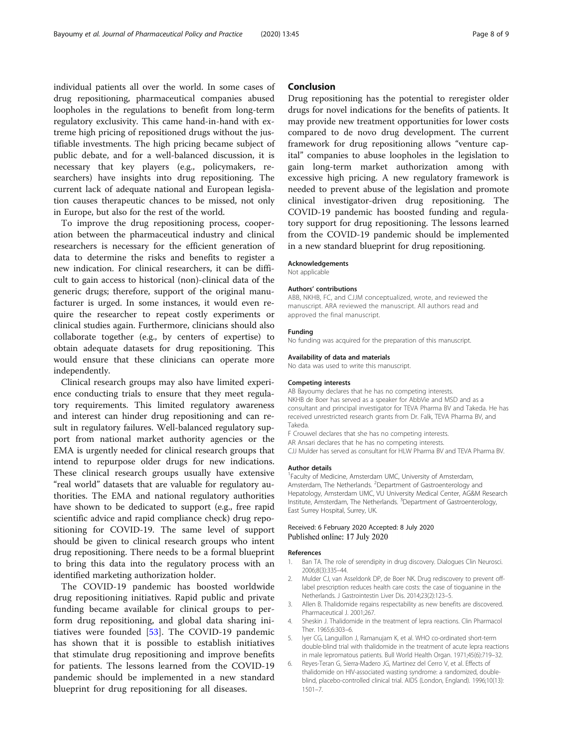<span id="page-7-0"></span>individual patients all over the world. In some cases of drug repositioning, pharmaceutical companies abused loopholes in the regulations to benefit from long-term regulatory exclusivity. This came hand-in-hand with extreme high pricing of repositioned drugs without the justifiable investments. The high pricing became subject of public debate, and for a well-balanced discussion, it is necessary that key players (e.g., policymakers, researchers) have insights into drug repositioning. The current lack of adequate national and European legislation causes therapeutic chances to be missed, not only in Europe, but also for the rest of the world.

To improve the drug repositioning process, cooperation between the pharmaceutical industry and clinical researchers is necessary for the efficient generation of data to determine the risks and benefits to register a new indication. For clinical researchers, it can be difficult to gain access to historical (non)-clinical data of the generic drugs; therefore, support of the original manufacturer is urged. In some instances, it would even require the researcher to repeat costly experiments or clinical studies again. Furthermore, clinicians should also collaborate together (e.g., by centers of expertise) to obtain adequate datasets for drug repositioning. This would ensure that these clinicians can operate more independently.

Clinical research groups may also have limited experience conducting trials to ensure that they meet regulatory requirements. This limited regulatory awareness and interest can hinder drug repositioning and can result in regulatory failures. Well-balanced regulatory support from national market authority agencies or the EMA is urgently needed for clinical research groups that intend to repurpose older drugs for new indications. These clinical research groups usually have extensive "real world" datasets that are valuable for regulatory authorities. The EMA and national regulatory authorities have shown to be dedicated to support (e.g., free rapid scientific advice and rapid compliance check) drug repositioning for COVID-19. The same level of support should be given to clinical research groups who intent drug repositioning. There needs to be a formal blueprint to bring this data into the regulatory process with an identified marketing authorization holder.

The COVID-19 pandemic has boosted worldwide drug repositioning initiatives. Rapid public and private funding became available for clinical groups to perform drug repositioning, and global data sharing initiatives were founded [[53\]](#page-8-0). The COVID-19 pandemic has shown that it is possible to establish initiatives that stimulate drug repositioning and improve benefits for patients. The lessons learned from the COVID-19 pandemic should be implemented in a new standard blueprint for drug repositioning for all diseases.

## Conclusion

Drug repositioning has the potential to reregister older drugs for novel indications for the benefits of patients. It may provide new treatment opportunities for lower costs compared to de novo drug development. The current framework for drug repositioning allows "venture capital" companies to abuse loopholes in the legislation to gain long-term market authorization among with excessive high pricing. A new regulatory framework is needed to prevent abuse of the legislation and promote clinical investigator-driven drug repositioning. The COVID-19 pandemic has boosted funding and regulatory support for drug repositioning. The lessons learned from the COVID-19 pandemic should be implemented in a new standard blueprint for drug repositioning.

#### Acknowledgements

Not applicable

#### Authors' contributions

ABB, NKHB, FC, and CJJM conceptualized, wrote, and reviewed the manuscript. ARA reviewed the manuscript. All authors read and approved the final manuscript.

### Funding

No funding was acquired for the preparation of this manuscript.

#### Availability of data and materials

No data was used to write this manuscript.

#### Competing interests

AB Bayoumy declares that he has no competing interests. NKHB de Boer has served as a speaker for AbbVie and MSD and as a consultant and principal investigator for TEVA Pharma BV and Takeda. He has received unrestricted research grants from Dr. Falk, TEVA Pharma BV, and Takeda.

- F Crouwel declares that she has no competing interests.
- AR Ansari declares that he has no competing interests.

CJJ Mulder has served as consultant for HLW Pharma BV and TEVA Pharma BV.

#### Author details

<sup>1</sup> Faculty of Medicine, Amsterdam UMC, University of Amsterdam, Amsterdam, The Netherlands. <sup>2</sup>Department of Gastroenterology and Hepatology, Amsterdam UMC, VU University Medical Center, AG&M Research Institute, Amsterdam, The Netherlands. <sup>3</sup>Department of Gastroenterology, East Surrey Hospital, Surrey, UK.

#### Received: 6 February 2020 Accepted: 8 July 2020 Published online: 17 July 2020

#### References

- 1. Ban TA. The role of serendipity in drug discovery. Dialogues Clin Neurosci. 2006;8(3):335–44.
- 2. Mulder CJ, van Asseldonk DP, de Boer NK. Drug rediscovery to prevent offlabel prescription reduces health care costs: the case of tioguanine in the Netherlands. J Gastrointestin Liver Dis. 2014;23(2):123–5.
- 3. Allen B. Thalidomide regains respectability as new benefits are discovered. Pharmaceutical J. 2001;267.
- 4. Sheskin J. Thalidomide in the treatment of lepra reactions. Clin Pharmacol Ther. 1965;6:303–6.
- 5. Iyer CG, Languillon J, Ramanujam K, et al. WHO co-ordinated short-term double-blind trial with thalidomide in the treatment of acute lepra reactions in male lepromatous patients. Bull World Health Organ. 1971;45(6):719–32.
- 6. Reyes-Teran G, Sierra-Madero JG, Martinez del Cerro V, et al. Effects of thalidomide on HIV-associated wasting syndrome: a randomized, doubleblind, placebo-controlled clinical trial. AIDS (London, England). 1996;10(13): 1501–7.